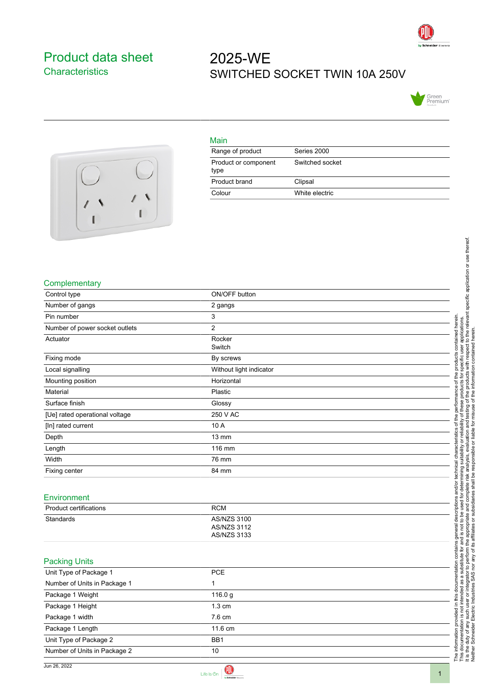

## <span id="page-0-0"></span>Product data sheet **Characteristics**

## 2025-WE SWITCHED SOCKET TWIN 10A 250V





| Main                         |                 |
|------------------------------|-----------------|
| Range of product             | Series 2000     |
| Product or component<br>type | Switched socket |
| Product brand                | Clipsal         |
| Colour                       | White electric  |

## **Complementary**

| Control type                   | ON/OFF button           |
|--------------------------------|-------------------------|
| Number of gangs                | 2 gangs                 |
| Pin number                     | 3                       |
| Number of power socket outlets | 2                       |
| Actuator                       | Rocker<br>Switch        |
| Fixing mode                    | By screws               |
| Local signalling               | Without light indicator |
| Mounting position              | Horizontal              |
| Material                       | Plastic                 |
| Surface finish                 | Glossy                  |
| [Ue] rated operational voltage | 250 V AC                |
| [In] rated current             | 10 A                    |
| Depth                          | 13 mm                   |
| Length                         | 116 mm                  |
| Width                          | 76 mm                   |
| Fixing center                  | 84 mm                   |
|                                |                         |
| Environment                    |                         |
| Product certifications         | <b>RCM</b>              |
| Standards                      | <b>AS/NZS 3100</b>      |
|                                | <b>AS/NZS 3112</b>      |
|                                | <b>AS/NZS 3133</b>      |
|                                |                         |
| <b>Packing Units</b>           |                         |
| Unit Type of Package 1         | PCE                     |
| Number of Units in Package 1   | 1                       |
| Package 1 Weight               | 116.0 g                 |
| Package 1 Height               | 1.3 cm                  |
| Package 1 width                | 7.6 cm                  |
| Package 1 Length               | 11.6 cm                 |
| Unit Type of Package 2         | BB1                     |

Number of Units in Package 2 10